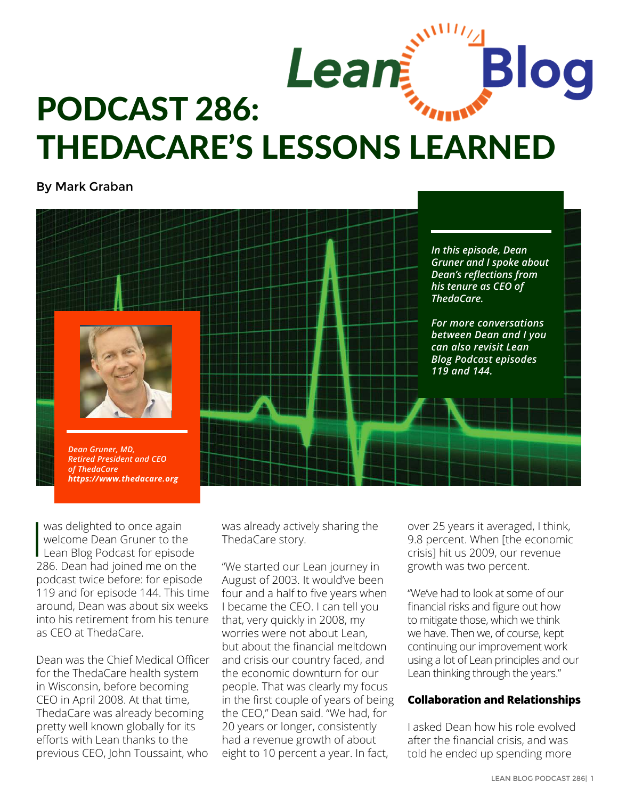

# THEDACARE'S LESSONS LEARNED

By Mark Graban



was delighted to once again<br>
welcome Dean Gruner to the<br>
Lean Blog Podcast for episod<br>
286 Dean had joined me on t welcome Dean Gruner to the Lean Blog Podcast for episode 286. Dean had joined me on the podcast twice before: for [episode](http://www.leanblog.org/2011/05/podcast-119-dr-dean-gruner-strategy-deployment-at-thedacare/)  [119](http://www.leanblog.org/2011/05/podcast-119-dr-dean-gruner-strategy-deployment-at-thedacare/) and for [episode 144](http://www.leanblog.org/2012/04/podcast-144-dr-dean-gruner-lean-acos-at-thedacare/). This time around, Dean was about six weeks into his retirement from his tenure as [CEO at ThedaCare.](https://www.thedacare.org) 

Dean was the Chief Medical Officer for the ThedaCare health system in Wisconsin, before becoming CEO in April 2008. At that time, ThedaCare was already becoming pretty well known globally for its efforts with Lean thanks to the previous CEO, John Toussaint, who

was already actively sharing the ThedaCare story.

"We started our Lean journey in August of 2003. It would've been four and a half to five years when I became the CEO. I can tell you that, very quickly in 2008, my worries were not about Lean, but about the financial meltdown and crisis our country faced, and the economic downturn for our people. That was clearly my focus in the first couple of years of being the CEO," Dean said. "We had, for 20 years or longer, consistently had a revenue growth of about eight to 10 percent a year. In fact,

over 25 years it averaged, I think, 9.8 percent. When [the economic crisis] hit us 2009, our revenue growth was two percent.

"We've had to look at some of our financial risks and figure out how to mitigate those, which we think we have. Then we, of course, kept continuing our improvement work using a lot of Lean principles and our Lean thinking through the years."

#### **Collaboration and Relationships**

I asked Dean how his role evolved after the financial crisis, and was told he ended up spending more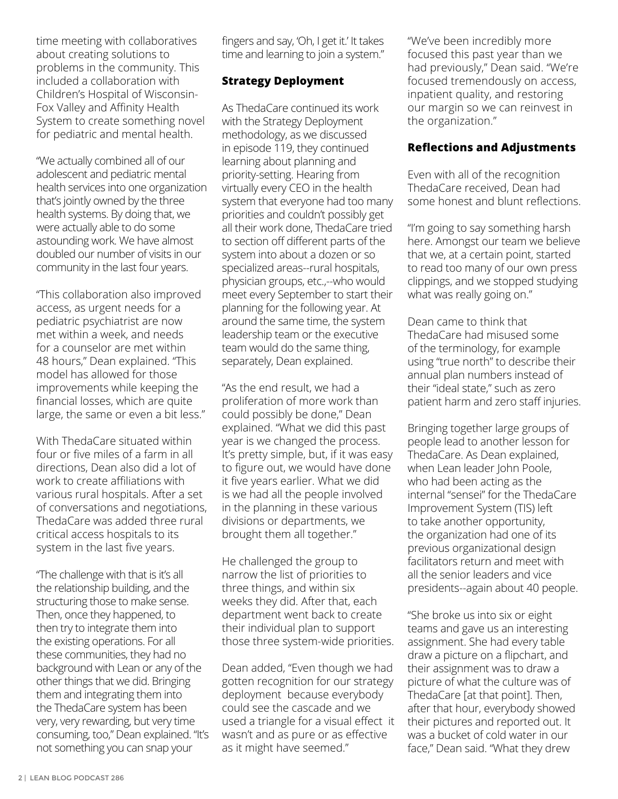time meeting with collaboratives about creating solutions to problems in the community. This included a collaboration with Children's Hospital of Wisconsin-Fox Valley and Affinity Health System to create something novel for pediatric and mental health.

"We actually combined all of our adolescent and pediatric mental health services into one organization that's jointly owned by the three health systems. By doing that, we were actually able to do some astounding work. We have almost doubled our number of visits in our community in the last four years.

"This collaboration also improved access, as urgent needs for a pediatric psychiatrist are now met within a week, and needs for a counselor are met within 48 hours," Dean explained. "This model has allowed for those improvements while keeping the financial losses, which are quite large, the same or even a bit less."

With ThedaCare situated within four or five miles of a farm in all directions, Dean also did a lot of work to create affiliations with various rural hospitals. After a set of conversations and negotiations, ThedaCare was added three rural critical access hospitals to its system in the last five years.

"The challenge with that is it's all the relationship building, and the structuring those to make sense. Then, once they happened, to then try to integrate them into the existing operations. For all these communities, they had no background with Lean or any of the other things that we did. Bringing them and integrating them into the ThedaCare system has been very, very rewarding, but very time consuming, too," Dean explained. "It's not something you can snap your

fingers and say, 'Oh, I get it.' It takes time and learning to join a system."

## **Strategy Deployment**

As ThedaCare continued its work with the Strategy Deployment methodology, as we discussed in episode 119, they continued learning about planning and priority-setting. Hearing from virtually every CEO in the health system that everyone had too many priorities and couldn't possibly get all their work done, ThedaCare tried to section off different parts of the system into about a dozen or so specialized areas--rural hospitals, physician groups, etc.,--who would meet every September to start their planning for the following year. At around the same time, the system leadership team or the executive team would do the same thing, separately, Dean explained.

"As the end result, we had a proliferation of more work than could possibly be done," Dean explained. "What we did this past year is we changed the process. It's pretty simple, but, if it was easy to figure out, we would have done it five years earlier. What we did is we had all the people involved in the planning in these various divisions or departments, we brought them all together."

He challenged the group to narrow the list of priorities to three things, and within six weeks they did. After that, each department went back to create their individual plan to support those three system-wide priorities.

Dean added, "Even though we had gotten recognition for our strategy deployment because everybody could see the cascade and we used a triangle for a visual effect it wasn't and as pure or as effective as it might have seemed."

"We've been incredibly more focused this past year than we had previously," Dean said. "We're focused tremendously on access, inpatient quality, and restoring our margin so we can reinvest in the organization."

## **Reflections and Adjustments**

Even with all of the recognition ThedaCare received, Dean had some honest and blunt reflections.

"I'm going to say something harsh here. Amongst our team we believe that we, at a certain point, started to read too many of our own press clippings, and we stopped studying what was really going on."

Dean came to think that ThedaCare had misused some of the terminology, for example using "true north" to describe their annual plan numbers instead of their "ideal state," such as zero patient harm and zero staff injuries.

Bringing together large groups of people lead to another lesson for ThedaCare. As Dean explained, when Lean leader John Poole, who had been acting as the internal "sensei" for the ThedaCare Improvement System (TIS) left to take another opportunity, the organization had one of its previous organizational design facilitators return and meet with all the senior leaders and vice presidents--again about 40 people.

"She broke us into six or eight teams and gave us an interesting assignment. She had every table draw a picture on a flipchart, and their assignment was to draw a picture of what the culture was of ThedaCare [at that point]. Then, after that hour, everybody showed their pictures and reported out. It was a bucket of cold water in our face," Dean said. "What they drew